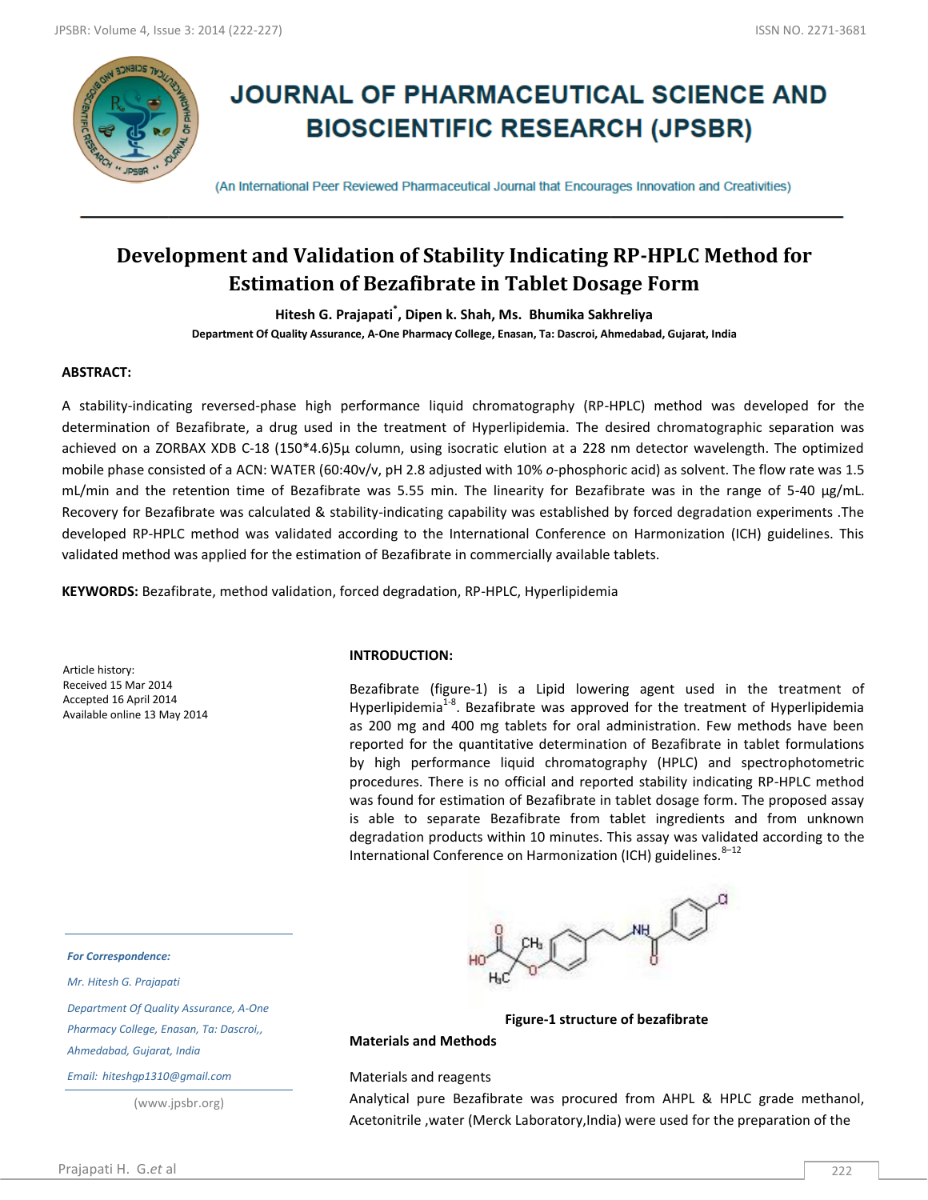

# **JOURNAL OF PHARMACEUTICAL SCIENCE AND BIOSCIENTIFIC RESEARCH (JPSBR)**

(An International Peer Reviewed Pharmaceutical Journal that Encourages Innovation and Creativities)

# **Development and Validation of Stability Indicating RP-HPLC Method for Estimation of Bezafibrate in Tablet Dosage Form**

**Hitesh G. Prajapati\* , Dipen k. Shah, Ms. Bhumika Sakhreliya Department Of Quality Assurance, A-One Pharmacy College, Enasan, Ta: Dascroi, Ahmedabad, Gujarat, India**

# **ABSTRACT:**

A stability-indicating reversed-phase high performance liquid chromatography (RP-HPLC) method was developed for the determination of Bezafibrate, a drug used in the treatment of Hyperlipidemia. The desired chromatographic separation was achieved on a ZORBAX XDB C-18 (150\*4.6)5µ column, using isocratic elution at a 228 nm detector wavelength. The optimized mobile phase consisted of a ACN: WATER (60:40v/v, pH 2.8 adjusted with 10% *o*-phosphoric acid) as solvent. The flow rate was 1.5 mL/min and the retention time of Bezafibrate was 5.55 min. The linearity for Bezafibrate was in the range of 5-40 μg/mL. Recovery for Bezafibrate was calculated & stability-indicating capability was established by forced degradation experiments .The developed RP-HPLC method was validated according to the International Conference on Harmonization (ICH) guidelines. This validated method was applied for the estimation of Bezafibrate in commercially available tablets.

**KEYWORDS:** Bezafibrate, method validation, forced degradation, RP-HPLC, Hyperlipidemia

Article history: Received 15 Mar 2014 Accepted 16 April 2014 Available online 13 May 2014

## **INTRODUCTION:**

Bezafibrate (figure-1) is a Lipid lowering agent used in the treatment of Hyperlipidemia<sup>1-8</sup>. Bezafibrate was approved for the treatment of Hyperlipidemia as 200 mg and 400 mg tablets for oral administration. Few methods have been reported for the quantitative determination of Bezafibrate in tablet formulations by high performance liquid chromatography (HPLC) and spectrophotometric procedures. There is no official and reported stability indicating RP-HPLC method was found for estimation of Bezafibrate in tablet dosage form. The proposed assay is able to separate Bezafibrate from tablet ingredients and from unknown degradation products within 10 minutes. This assay was validated according to the International Conference on Harmonization (ICH) guidelines.<sup>8-12</sup>



**Figure-1 structure of bezafibrate**

## **Materials and Methods**

Materials and reagents

Analytical pure Bezafibrate was procured from AHPL & HPLC grade methanol, Acetonitrile ,water (Merck Laboratory,India) were used for the preparation of the

*For Correspondence:*

*Mr. Hitesh G. Prajapati*

*Department Of Quality Assurance, A-One* 

*Pharmacy College, Enasan, Ta: Dascroi,,* 

*Ahmedabad, Gujarat, India*

*Email: hiteshgp1310@gmail.com*

(www.jpsbr.org)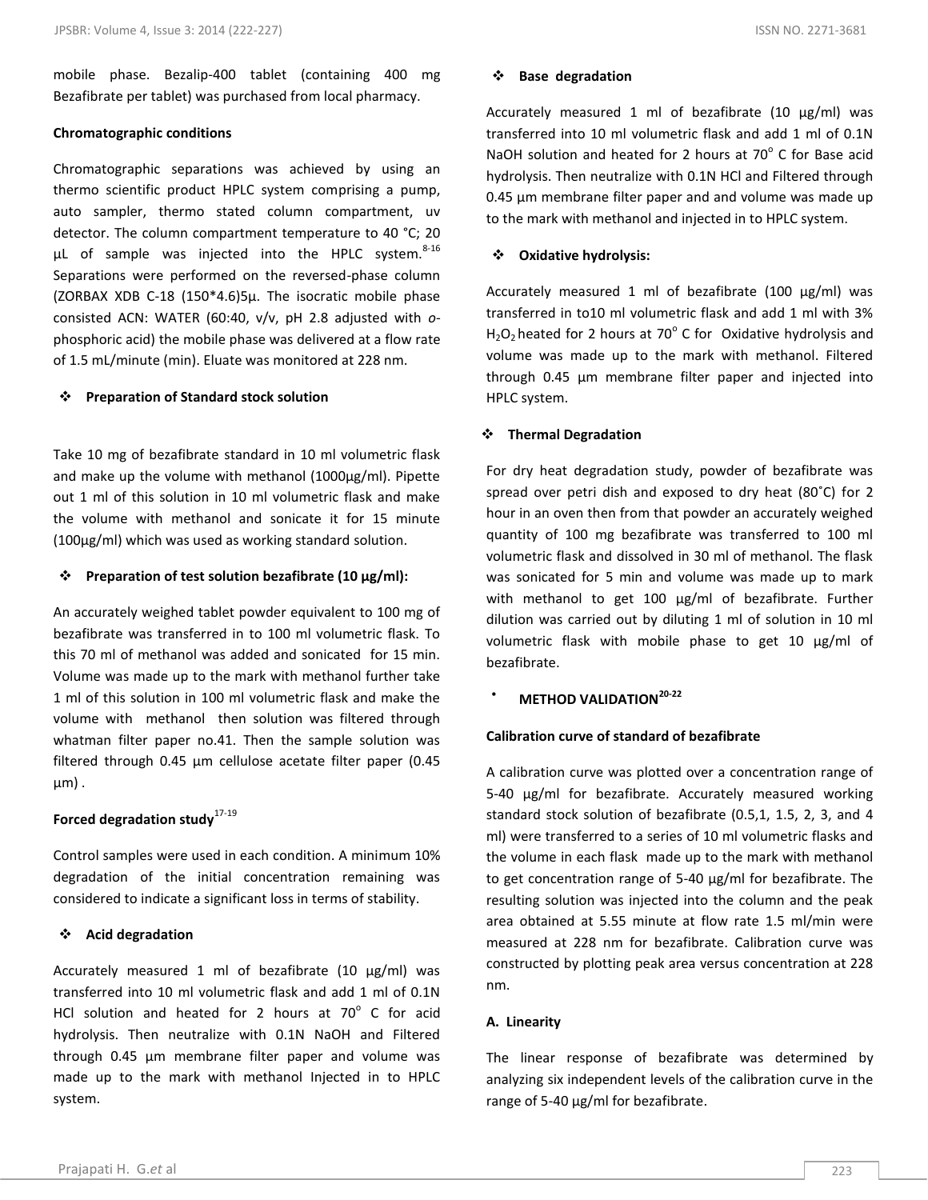mobile phase. Bezalip-400 tablet (containing 400 mg Bezafibrate per tablet) was purchased from local pharmacy.

# **Chromatographic conditions**

Chromatographic separations was achieved by using an thermo scientific product HPLC system comprising a pump, auto sampler, thermo stated column compartment, uv detector. The column compartment temperature to 40 °C; 20  $\mu$ L of sample was injected into the HPLC system.<sup>8-16</sup> Separations were performed on the reversed-phase column (ZORBAX XDB C-18 (150\*4.6)5µ. The isocratic mobile phase consisted ACN: WATER (60:40, v/v, pH 2.8 adjusted with *o*phosphoric acid) the mobile phase was delivered at a flow rate of 1.5 mL/minute (min). Eluate was monitored at 228 nm.

# **Preparation of Standard stock solution**

Take 10 mg of bezafibrate standard in 10 ml volumetric flask and make up the volume with methanol (1000µg/ml). Pipette out 1 ml of this solution in 10 ml volumetric flask and make the volume with methanol and sonicate it for 15 minute (100µg/ml) which was used as working standard solution.

# **Preparation of test solution bezafibrate (10 μg/ml):**

An accurately weighed tablet powder equivalent to 100 mg of bezafibrate was transferred in to 100 ml volumetric flask. To this 70 ml of methanol was added and sonicated for 15 min. Volume was made up to the mark with methanol further take 1 ml of this solution in 100 ml volumetric flask and make the volume with methanol then solution was filtered through whatman filter paper no.41. Then the sample solution was filtered through 0.45 μm cellulose acetate filter paper (0.45 μm) .

# **Forced degradation study**17-19

Control samples were used in each condition. A minimum 10% degradation of the initial concentration remaining was considered to indicate a significant loss in terms of stability.

# **Acid degradation**

Accurately measured 1 ml of bezafibrate (10 μg/ml) was transferred into 10 ml volumetric flask and add 1 ml of 0.1N HCl solution and heated for 2 hours at  $70^{\circ}$  C for acid hydrolysis. Then neutralize with 0.1N NaOH and Filtered through 0.45 μm membrane filter paper and volume was made up to the mark with methanol Injected in to HPLC system.

# **Base degradation**

Accurately measured 1 ml of bezafibrate (10 μg/ml) was transferred into 10 ml volumetric flask and add 1 ml of 0.1N NaOH solution and heated for 2 hours at  $70^{\circ}$  C for Base acid hydrolysis. Then neutralize with 0.1N HCl and Filtered through 0.45 μm membrane filter paper and and volume was made up to the mark with methanol and injected in to HPLC system.

# **Oxidative hydrolysis:**

Accurately measured 1 ml of bezafibrate (100 μg/ml) was transferred in to10 ml volumetric flask and add 1 ml with 3%  $H_2O_2$  heated for 2 hours at 70 $^{\circ}$  C for Oxidative hydrolysis and volume was made up to the mark with methanol. Filtered through 0.45 μm membrane filter paper and injected into HPLC system.

# **Thermal Degradation**

For dry heat degradation study, powder of bezafibrate was spread over petri dish and exposed to dry heat (80˚C) for 2 hour in an oven then from that powder an accurately weighed quantity of 100 mg bezafibrate was transferred to 100 ml volumetric flask and dissolved in 30 ml of methanol. The flask was sonicated for 5 min and volume was made up to mark with methanol to get 100 μg/ml of bezafibrate. Further dilution was carried out by diluting 1 ml of solution in 10 ml volumetric flask with mobile phase to get 10 μg/ml of bezafibrate.

**METHOD VALIDATION20-22**

# **Calibration curve of standard of bezafibrate**

A calibration curve was plotted over a concentration range of 5-40 μg/ml for bezafibrate. Accurately measured working standard stock solution of bezafibrate (0.5,1, 1.5, 2, 3, and 4 ml) were transferred to a series of 10 ml volumetric flasks and the volume in each flask made up to the mark with methanol to get concentration range of 5-40 μg/ml for bezafibrate. The resulting solution was injected into the column and the peak area obtained at 5.55 minute at flow rate 1.5 ml/min were measured at 228 nm for bezafibrate. Calibration curve was constructed by plotting peak area versus concentration at 228 nm.

# **A. Linearity**

The linear response of bezafibrate was determined by analyzing six independent levels of the calibration curve in the range of 5-40 μg/ml for bezafibrate.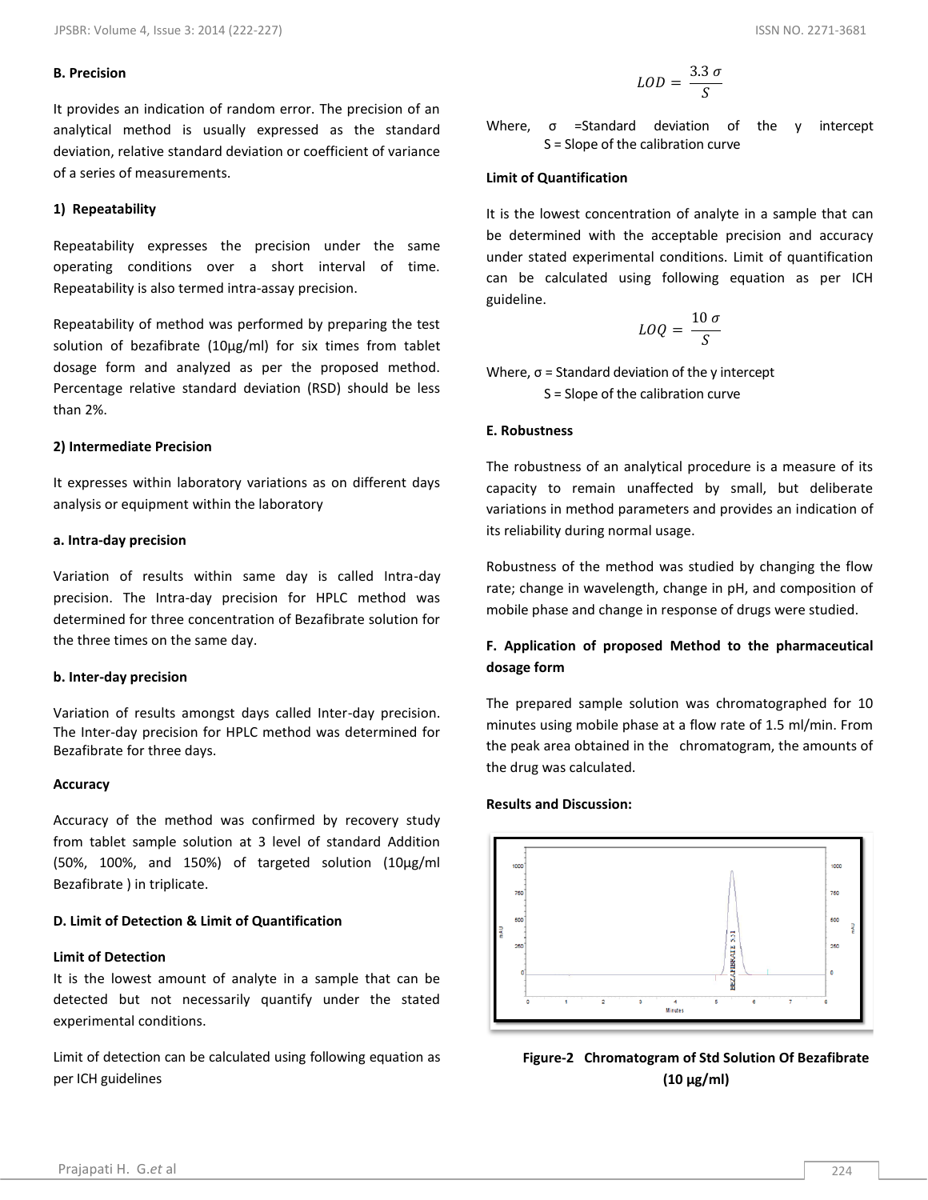#### **B. Precision**

It provides an indication of random error. The precision of an analytical method is usually expressed as the standard deviation, relative standard deviation or coefficient of variance of a series of measurements.

#### **1) Repeatability**

Repeatability expresses the precision under the same operating conditions over a short interval of time. Repeatability is also termed intra-assay precision.

Repeatability of method was performed by preparing the test solution of bezafibrate (10μg/ml) for six times from tablet dosage form and analyzed as per the proposed method. Percentage relative standard deviation (RSD) should be less than 2%.

#### **2) Intermediate Precision**

It expresses within laboratory variations as on different days analysis or equipment within the laboratory

#### **a. Intra-day precision**

Variation of results within same day is called Intra-day precision. The Intra-day precision for HPLC method was determined for three concentration of Bezafibrate solution for the three times on the same day.

#### **b. Inter-day precision**

Variation of results amongst days called Inter-day precision. The Inter-day precision for HPLC method was determined for Bezafibrate for three days.

#### **Accuracy**

Accuracy of the method was confirmed by recovery study from tablet sample solution at 3 level of standard Addition (50%, 100%, and 150%) of targeted solution (10μg/ml Bezafibrate ) in triplicate.

#### **D. Limit of Detection & Limit of Quantification**

# **Limit of Detection**

It is the lowest amount of analyte in a sample that can be detected but not necessarily quantify under the stated experimental conditions.

Limit of detection can be calculated using following equation as per ICH guidelines

$$
LOD = \frac{3.3 \sigma}{S}
$$

Where, σ =Standard deviation of the y intercept S = Slope of the calibration curve

# **Limit of Quantification**

It is the lowest concentration of analyte in a sample that can be determined with the acceptable precision and accuracy under stated experimental conditions. Limit of quantification can be calculated using following equation as per ICH guideline.

$$
LOQ = \frac{10 \sigma}{S}
$$

Where,  $\sigma$  = Standard deviation of the y intercept S = Slope of the calibration curve

#### **E. Robustness**

The robustness of an analytical procedure is a measure of its capacity to remain unaffected by small, but deliberate variations in method parameters and provides an indication of its reliability during normal usage.

Robustness of the method was studied by changing the flow rate; change in wavelength, change in pH, and composition of mobile phase and change in response of drugs were studied.

# **F. Application of proposed Method to the pharmaceutical dosage form**

The prepared sample solution was chromatographed for 10 minutes using mobile phase at a flow rate of 1.5 ml/min. From the peak area obtained in the chromatogram, the amounts of the drug was calculated.

#### **Results and Discussion:**



**Figure-2 Chromatogram of Std Solution Of Bezafibrate (10 μg/ml)**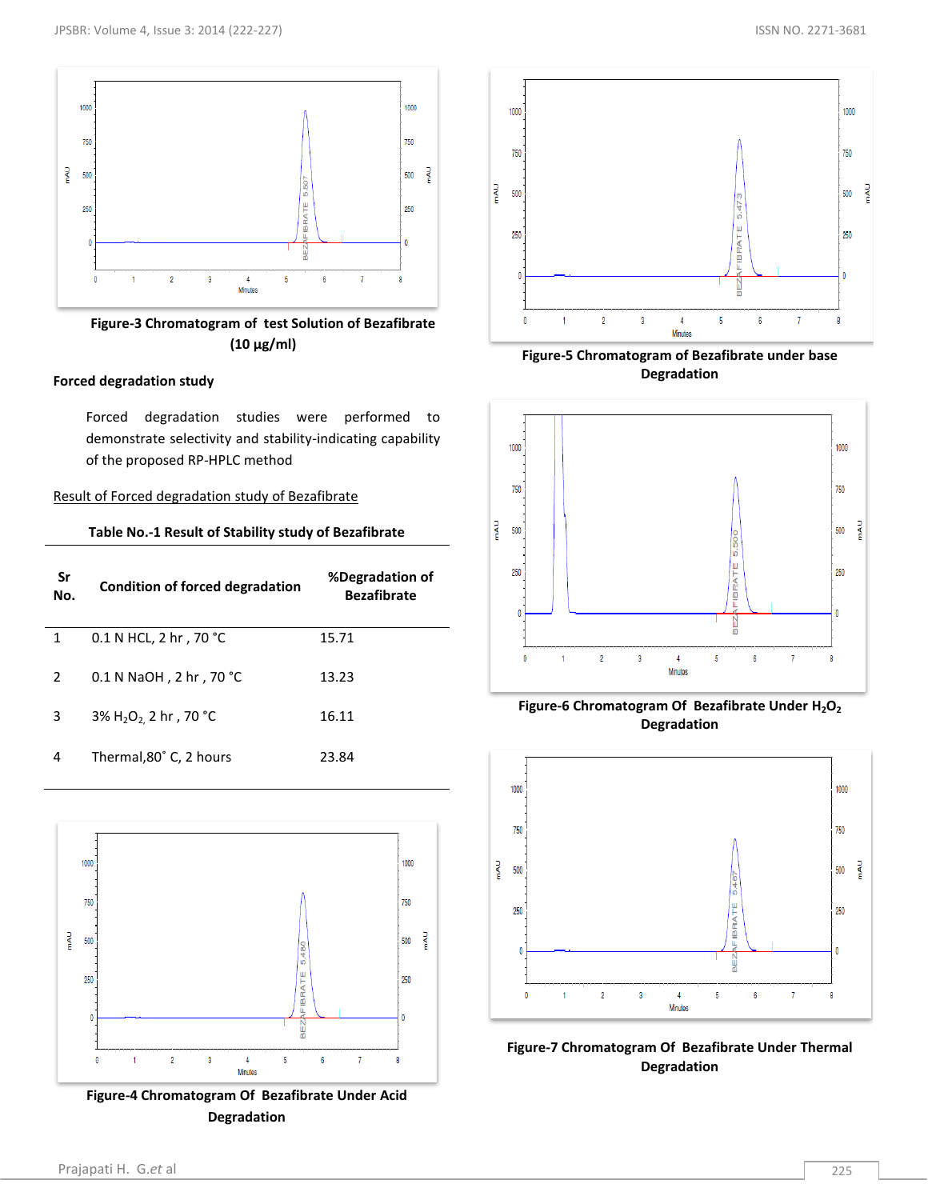

**Figure-3 Chromatogram of test Solution of Bezafibrate (10 μg/ml)**

# **Forced degradation study**

Forced degradation studies were performed to demonstrate selectivity and stability-indicating capability of the proposed RP-HPLC method

# Result of Forced degradation study of Bezafibrate

|  | Table No.-1 Result of Stability study of Bezafibrate |
|--|------------------------------------------------------|
|--|------------------------------------------------------|

| Sr<br>No.     | <b>Condition of forced degradation</b>       | %Degradation of<br><b>Bezafibrate</b> |
|---------------|----------------------------------------------|---------------------------------------|
| 1             | 0.1 N HCL, 2 hr, 70 °C                       | 15.71                                 |
| $\mathcal{P}$ | 0.1 N NaOH, 2 hr, 70 °C                      | 13.23                                 |
| 3             | 3% H <sub>2</sub> O <sub>2</sub> 2 hr, 70 °C | 16.11                                 |
| 4             | Thermal, 80° C, 2 hours                      | 23.84                                 |



**Figure-4 Chromatogram Of Bezafibrate Under Acid Degradation**



**Figure-5 Chromatogram of Bezafibrate under base Degradation**



**Figure-6 Chromatogram Of Bezafibrate Under H2O<sup>2</sup> Degradation**



**Figure-7 Chromatogram Of Bezafibrate Under Thermal Degradation**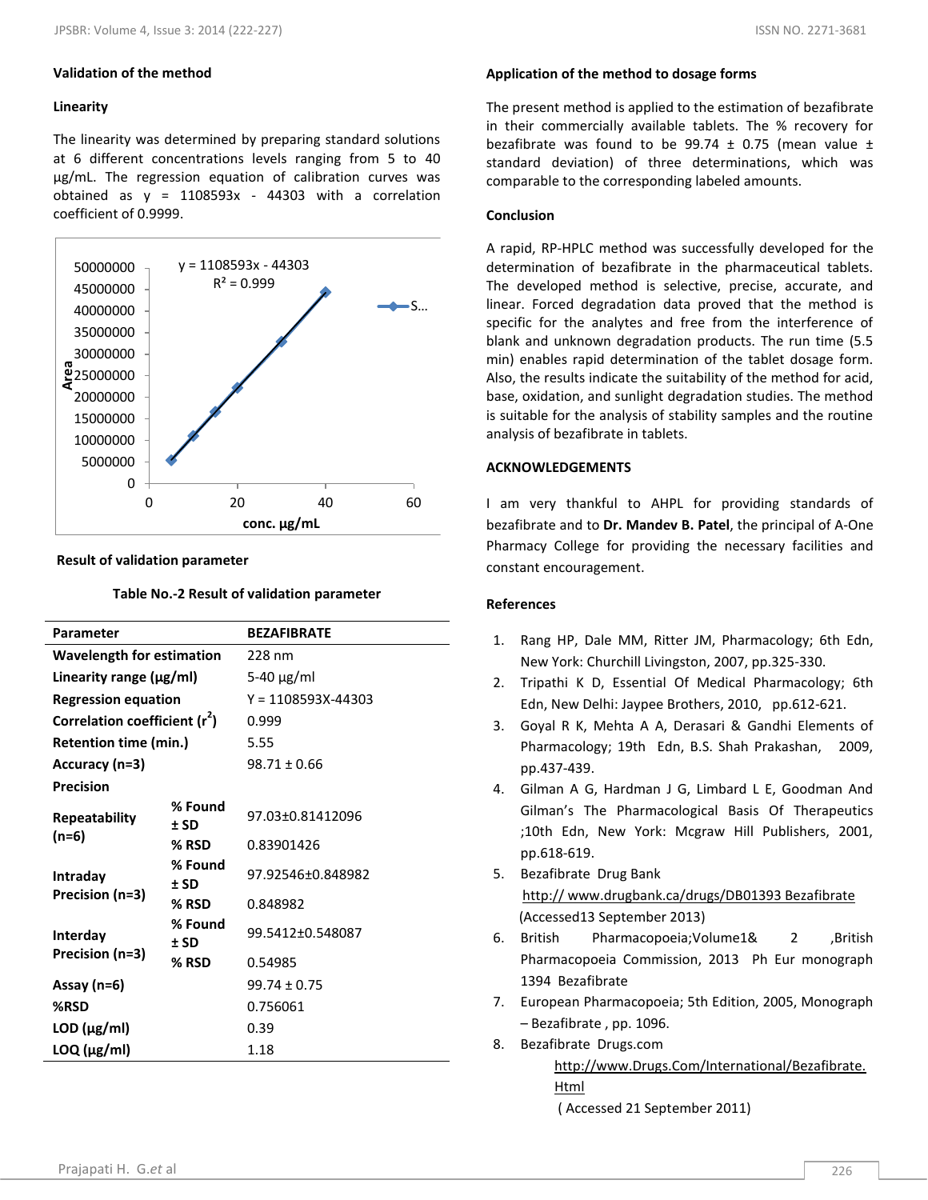# **Validation of the method**

# **Linearity**

The linearity was determined by preparing standard solutions at 6 different concentrations levels ranging from 5 to 40 μg/mL. The regression equation of calibration curves was obtained as  $y = 1108593x - 44303$  with a correlation coefficient of 0.9999.



#### **Result of validation parameter**

#### **Table No.-2 Result of validation parameter**

| Parameter                                 |                   | <b>BEZAFIBRATE</b>     |
|-------------------------------------------|-------------------|------------------------|
| <b>Wavelength for estimation</b>          |                   | 228 nm                 |
| Linearity range $(\mu g/ml)$              |                   | 5-40 $\mu$ g/ml        |
| <b>Regression equation</b>                |                   | $Y = 1108593X - 44303$ |
| Correlation coefficient (r <sup>2</sup> ) |                   | 0.999                  |
| Retention time (min.)                     |                   | 5.55                   |
| Accuracy (n=3)                            |                   | $98.71 \pm 0.66$       |
| <b>Precision</b>                          |                   |                        |
| Repeatability                             | % Found<br>$±$ SD | 97.03±0.81412096       |
| $(n=6)$                                   | % RSD             | 0.83901426             |
| Intraday                                  | % Found<br>$±$ SD | 97.92546±0.848982      |
| Precision (n=3)                           | % RSD             | 0.848982               |
| Interday                                  | % Found<br>$±$ SD | 99.5412±0.548087       |
| Precision (n=3)                           | % RSD             | 0.54985                |
| Assay (n=6)                               |                   | $99.74 \pm 0.75$       |
| %RSD                                      |                   | 0.756061               |
| $LOD$ ( $\mu$ g/ml)                       |                   | 0.39                   |
| $LOQ$ ( $\mu$ g/ml)                       |                   | 1.18                   |

# **Application of the method to dosage forms**

The present method is applied to the estimation of bezafibrate in their commercially available tablets. The % recovery for bezafibrate was found to be 99.74  $\pm$  0.75 (mean value  $\pm$ standard deviation) of three determinations, which was comparable to the corresponding labeled amounts.

# **Conclusion**

A rapid, RP-HPLC method was successfully developed for the determination of bezafibrate in the pharmaceutical tablets. The developed method is selective, precise, accurate, and linear. Forced degradation data proved that the method is specific for the analytes and free from the interference of blank and unknown degradation products. The run time (5.5 min) enables rapid determination of the tablet dosage form. Also, the results indicate the suitability of the method for acid, base, oxidation, and sunlight degradation studies. The method is suitable for the analysis of stability samples and the routine analysis of bezafibrate in tablets.

# **ACKNOWLEDGEMENTS**

I am very thankful to AHPL for providing standards of bezafibrate and to **Dr. Mandev B. Patel**, the principal of A-One Pharmacy College for providing the necessary facilities and constant encouragement.

# **References**

- 1. Rang HP, Dale MM, Ritter JM, Pharmacology; 6th Edn, New York: Churchill Livingston, 2007, pp.325-330.
- 2. Tripathi K D, Essential Of Medical Pharmacology; 6th Edn, New Delhi: Jaypee Brothers, 2010, pp.612-621.
- 3. Goyal R K, Mehta A A, Derasari & Gandhi Elements of Pharmacology; 19th Edn, B.S. Shah Prakashan, 2009, pp.437-439.
- 4. Gilman A G, Hardman J G, Limbard L E, Goodman And Gilman's The Pharmacological Basis Of Therapeutics ;10th Edn, New York: Mcgraw Hill Publishers, 2001, pp.618-619.
- 5. Bezafibrate Drug Bank http:// www.drugbank.ca/drugs/DB01393 Bezafibrate (Accessed13 September 2013)
- 6. British Pharmacopoeia;Volume1& 2 ,British Pharmacopoeia Commission, 2013 Ph Eur monograph 1394 Bezafibrate
- 7. European Pharmacopoeia; 5th Edition, 2005, Monograph – Bezafibrate , pp. 1096.
- 8. Bezafibrate Drugs.com [http://www.Drugs.Com/International/Bezafibrate.](http://www.drugs.com/International/Bezafibrate.Html) [Html](http://www.drugs.com/International/Bezafibrate.Html) ( Accessed 21 September 2011)

Prajapati H. G.*et* al 226